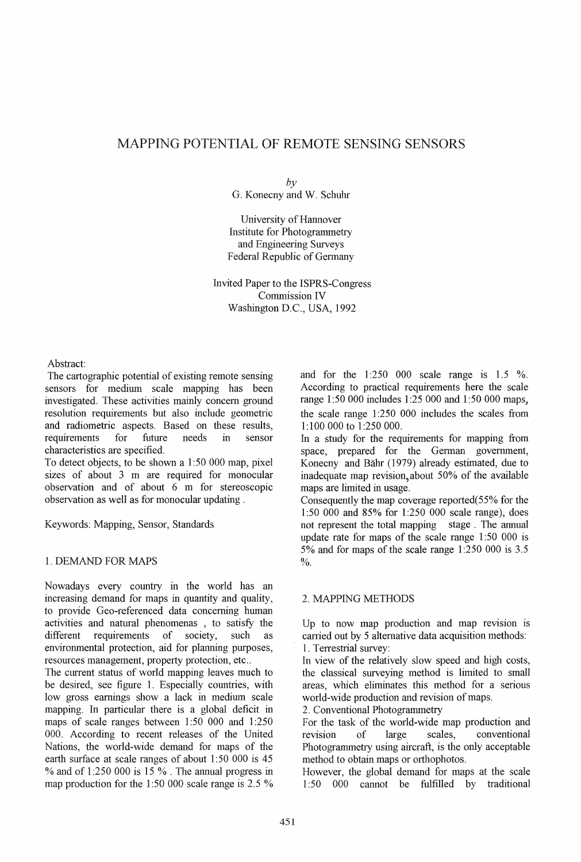# MAPPING POTENTIAL OF REMOTE SENSING SENSORS

#### $b\nu$

G. Konecny and W. Schuhr

University of Hannover Institute for Photogrammetry and Engineering Surveys Federal Republic of Germany

Invited Paper to the ISPRS-Congress Commission IV Washington D.C., USA, 1992

Abstract:

The cartographic potential of existing remote sensing sensors for medium scale mapping has been investigated. These activities mainly concern ground resolution requirements but also include geometric and radiometric aspects. Based on these results, requirements for future needs in sensor characteristics are specified.

To detect objects, to be shown a 1 :50 000 map, pixel sizes of about 3 m are required for monocular observation and of about 6 m for stereoscopic observation as well as for monocular updating.

Keywords: Mapping, Sensor, Standards

#### 1. DEMAND FOR MAPS

Nowadays every country in the world has an increasing demand for maps in quantity and quality, to provide Geo-referenced data concerning human activities and natural phenomenas , to satisfy the different requirements of society, such as environmental protection, aid for planning purposes, resources management, property protection, etc ..

The current status of world mapping leaves much to be desired, see figure 1. Especially countries, with low gross earnings show a lack in medium scale mapping. In particular there is a global deficit in maps of scale ranges between 1:50 000 and 1:250 000. According to recent releases of the United Nations, the world-wide demand for maps of the earth surface at scale ranges of about 1:50 000 is 45 % and of 1 :250 000 is 15 % . The annual progress in map production for the 1:50 000 scale range is 2.5 %

and for the  $1:250$  000 scale range is  $1.5\%$ . According to practical requirements here the scale range 1:50 000 includes 1:25 000 and 1:50 000 maps, the scale range 1 :250 000 includes the scales from 1: 100 000 to 1 :250 000.

In a study for the requirements for mapping from space, prepared for the German government, Konecny and Bahr (1979) already estimated, due to inadequate map revision,about 50% of the available maps are limited in usage.

Consequently the map coverage reported(55% for the 1:50 000 and 85% for 1:250 000 scale range), does not represent the total mapping stage. The annual update rate for maps of the scale range 1 :50 000 is 5% and for maps of the scale range 1 :250 000 is 3.5  $\frac{0}{6}$ .

#### 2. MAPPING METHODS

Up to now map production and map revision is carried out by 5 alternative data acquisition methods: 1. Terrestrial survey:

In view of the relatively slow speed and high costs, the classical surveying method is limited to small areas, which eliminates this method for a senous world-wide production and revision of maps.

2. Conventional Photogrammetry

For the task of the world-wide map production and revision of large scales, conventional Photogrammetry using aircraft, is the only acceptable method to obtain maps or orthophotos.

However, the global demand for maps at the scale 1:50 000 cannot be fulfilled by traditional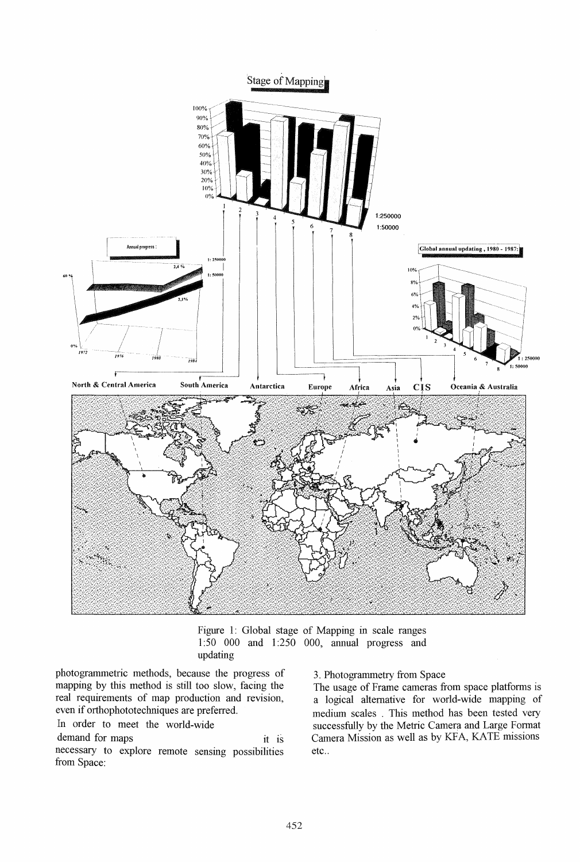

Figure 1: Global stage of Mapping in scale ranges 1 :50 000 and 1 :250 000, annual progress and updating

photogrammetric methods, because the progress of mapping by this method is still too slow, facing the real requirements of map production and revision, even if orthophototechniques are preferred.

In order to meet the world-wide

demand for maps it is necessary to explore remote sensing possibilities from Space:

3. Photogrammetry from Space

The usage of Frame cameras from space platforms is a logical alternative for world-wide mapping of medium scales . This method has been tested very successfully by the Metric Camera and Large Format Camera Mission as well as by KFA, KATE missions etc..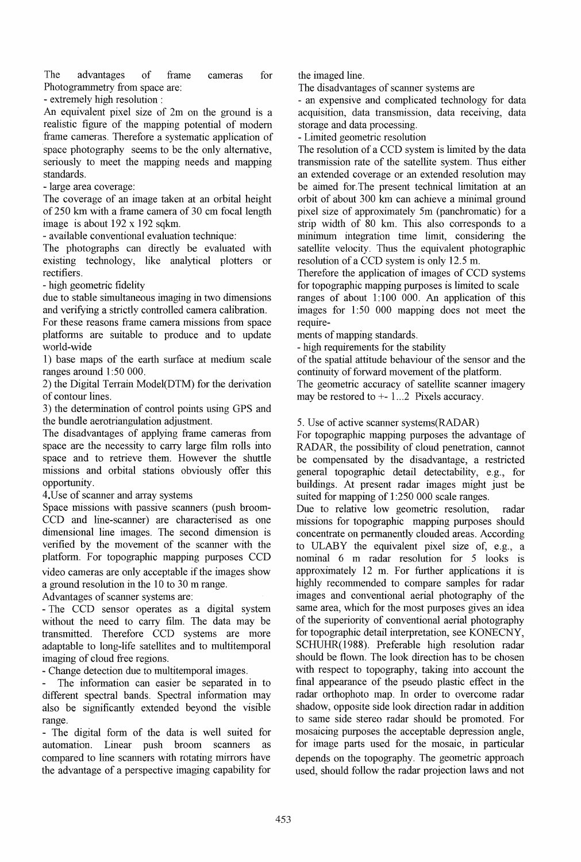The advantages of frame cameras for Photogrammetry from space are:

- extremely high resolution:

An equivalent pixel size of 2m on the ground is a realistic figure of the mapping potential of modern frame cameras. Therefore a systematic application of space photography seems to be the only alternative, seriously to meet the mapping needs and mapping standards.

- large area coverage:

The coverage of an image taken at an orbital height of 250 km with a frame camera of 30 cm focal length image is about 192 x 192 sqkm.

- available conventional evaluation technique:

The photographs can directly be evaluated with existing technology, like analytical plotters or rectifiers.

- high geometric fidelity

due to stable simultaneous imaging in two dimensions and verifying a strictly controlled camera calibration.

For these reasons frame camera missions from space platfonns are suitable to produce and to update world-wide

1) base maps of the earth surface at medium scale ranges around  $1:50000$ .

2) the Digital Terrain Model(DTM) for the derivation of contour lines.

3) the detemrination of control points using GPS and the bundle aerotriangulation adjustment.

The disadvantages of applying frame cameras from space are the necessity to carry large film rolls into space and to retrieve them. However the shuttle missions and orbital stations obviously offer this opportunity .

4. Use of scanner and array systems

Space missions with passive scanners (push broom-CCD and line-scanner) are characterised as one dimensional line images. The second dimension is verified by the movement of the scanner with the platfonn. For topographic mapping purposes CCD video cameras are only acceptable if the images show a ground resolution in the 10 to 30 m range.

Advantages of scanner systems are:

- The CCD sensor operates as a digital system without the need to carry film. The data may be transmitted. Therefore CCD systems are more adaptable to long-life satellites and to multitemporal imaging of cloud free regions.

- Change detection due to multitemporal images.

The information can easier be separated in to different spectral bands. Spectral information may also be significantly extended beyond the visible range.

- The digital fonn of the data is well suited for automation. Linear push broom scanners as compared to line scanners with rotating mirrors have the advantage of a perspective imaging capability for the imaged line.

The disadvantages of scanner systems are

- an expensive and complicated technology for data acquisition, data transmission, data receiving, data storage and data processing.

- Limited geometric resolution

The resolution of a CCD system is limited by the data transmission rate of the satellite system. Thus either an extended coverage or an extended resolution may be aimed for. The present technical limitation at an orbit of about 300 km can achieve a minimal ground pixel size of approximately 5m (panchromatic) for a strip width of 80 km. This also corresponds to a minimum integration time limit, considering the satellite velocity. Thus the equivalent photographic resolution of a CCD system is only 12.5 m.

Therefore the application of images of CCD systems for topographic mapping purposes is limited to scale ranges of about  $1:100$  000. An application of this

images for 1:50 000 mapping does not meet the require-

ments of mapping standards.

- high requirements for the stability

of the spatial attitude behaviour of the sensor and the continuity of forward movement of the platfonn.

The geometric accuracy of satellite scanner imagery may be restored to  $+-1...2$  Pixels accuracy.

## 5. Use of active scanner systems(RADAR)

For topographic mapping purposes the advantage of RADAR, the possibility of cloud penetration, cannot be compensated by the disadvantage, a restricted general topographic detail detectability, e.g., for buildings. At present radar images might just be suited for mapping of 1:250 000 scale ranges.

Due to relative low geometric resolution, radar missions for topographic mapping purposes should concentrate on pennanently clouded areas. According to ULABY the equivalent pixel size of, e.g., a nominal 6 m radar resolution for 5 looks is approximately  $12$  m. For further applications it is highly recommended to compare samples for radar images and conventional aerial photography of the same area, which for the most purposes gives an idea of the superiority of conventional aerial photography for topographic detail interpretation, see KONECNY, SCHUHR(1988). Preferable high resolution radar should be flown. The look direction has to be chosen with respect to topography, taking into account the final appearance of the pseudo plastic effect in the radar orthophoto map. In order to overcome radar shadow, opposite side look direction radar in addition to same side stereo radar should be promoted. For mosaicing purposes the acceptable depression angle, for image parts used for the mosaic, in particular depends on the topography. The geometric approach used, should follow the radar projection laws and not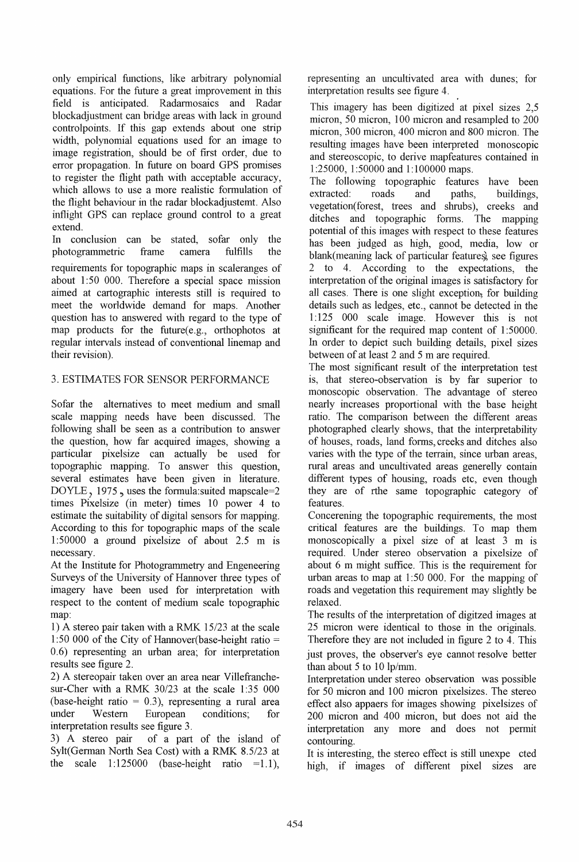only empirical functions, like arbitrary polynomial equations. For the future a great improvement in this field is anticipated. Radarmosaics and Radar blockadjustment can bridge areas with lack in ground controlpoints. If this gap extends about one strip width, polynomial equations used for an image to image registration, should be of first order, due to error propagation. In future on board GPS promises to register the flight path with acceptable accuracy, which allows to use a more realistic formulation of the flight behaviour in the radar blockadjustemt. Also inflight GPS can replace ground control to a great extend.

In conclusion can be stated, sofar only the photogrammetric frame camera fulfills the requirements for topographic maps in scaleranges of about 1:50 000. Therefore a special space mission aimed at cartographic interests still is required to meet the worldwide demand for maps. Another question has to answered with regard to the type of map products for the future $(e.g.,$  orthophotos at regular intervals instead of conventional linemap and their revision).

# 3. ESTIMATES FOR SENSOR PERFORMANCE

Sofar the alternatives to meet medium and small scale mapping needs have been discussed. The following shall be seen as a contribution to answer the question, how far acquired images, showing a particular pixel size can actually be used for topographic mapping. To answer this question, several estimates have been given in literature. DOYLE, 1975, uses the formula:suited mapscale=2 times Pixelsize (in meter) times 10 power 4 to estimate the suitability of digital sensors for mapping. According to this for topographic maps of the scale 1:50000 a ground pixel size of about  $2.5 \text{ m}$  is necessary.

At the Institute for Photogrammetry and Engeneering Surveys of the University of Hannover three types of imagery have been used for interpretation with respect to the content of medium scale topographic map:

1) A stereo pair taken with a RMK *15/23* at the scale 1 :50 000 of the City of Hannover(base-height ratio = 0.6) representing an urban area; for interpretation results see figure 2.

2) A stereopair taken over an area near Villefranchesur-Cher with a RMK 30/23 at the scale 1:35 000 (base-height ratio  $= 0.3$ ), representing a rural area under Western European conditions; for interpretation results see figure 3.

3) A stereo pair of a part of the island of Sylt(German North Sea Cost) with a RMK *8.5/23* at the scale  $1:125000$  (base-height ratio = 1.1),

representing an uncultivated area with dunes; for interpretation results see figure 4.

This imagery has been digitized at pixel sizes 2,5 micron, 50 micron, 100 micron and resampled to 200 micron, 300 micron, 400 micron and 800 micron. The resulting images have been interpreted monoscopic and stereoscopic, to derive mapfeatures contained in 1:25000, 1:50000 and 1:100000 maps.

The following topographic features have been extracted: roads and paths, buildings, vegetation(forest, trees and shrubs), creeks and ditches and topographic forms. The mapping potential of this images with respect to these features has been judged as high, good, media, low or blank(meaning lack of particular features), see figures 2 to 4. According to the expectations, the interpretation of the original images is satisfactory for all cases. There is one slight exception; for building details such as ledges, etc., cannot be detected in the 1 :125 000 scale image. However this is not significant for the required map content of 1:50000. In order to depict such building details, pixel sizes between of at least 2 and 5 m are required.

The most significant result of the interpretation test is, that stereo-observation is by far superior to monoscopic observation. The advantage of stereo nearly increases proportional with the base height ratio. The comparison between the different areas photographed clearly shows, that the interpretability of houses, roads, land forms, creeks and ditches also varies with the type of the terrain, since urban areas, rural areas and uncultivated areas generelly contain different types of housing, roads etc, even though they are of rthe same topographic category of features.

Concerening the topographic requirements, the most critical features are the buildings. To map them monoscopically a pixel size of at least 3 m is required. Under stereo observation a pixelsize of about 6 m might suffice. This is the requirement for urban areas to map at 1:50 000. For the mapping of roads and vegetation this requirement may slightly be relaxed.

The results of the interpretation of digitzed images at 25 micron were identical to those in the originals. Therefore they are not included in figure 2 to 4. This just proves, the observer's eye cannot resolve better than about 5 to 10 lp/mm.

Interpretation under stereo observation was possible for 50 micron and 100 micron pixelsizes. The stereo effect also appaers for images showing pixelsizes of 200 micron and 400 micron, but does not aid the interpretation any more and does not permit contouring.

It is interesting, the stereo effect is still unexpe cted high, if images of different pixel sizes are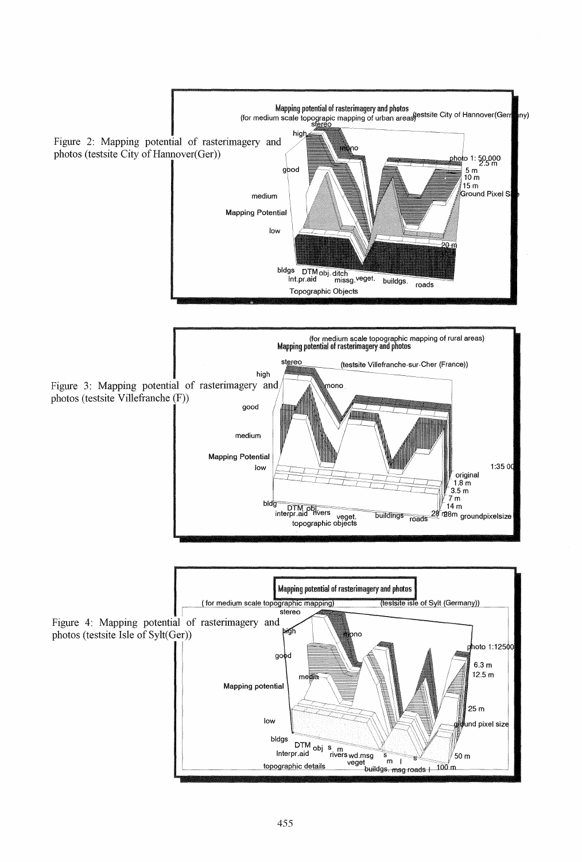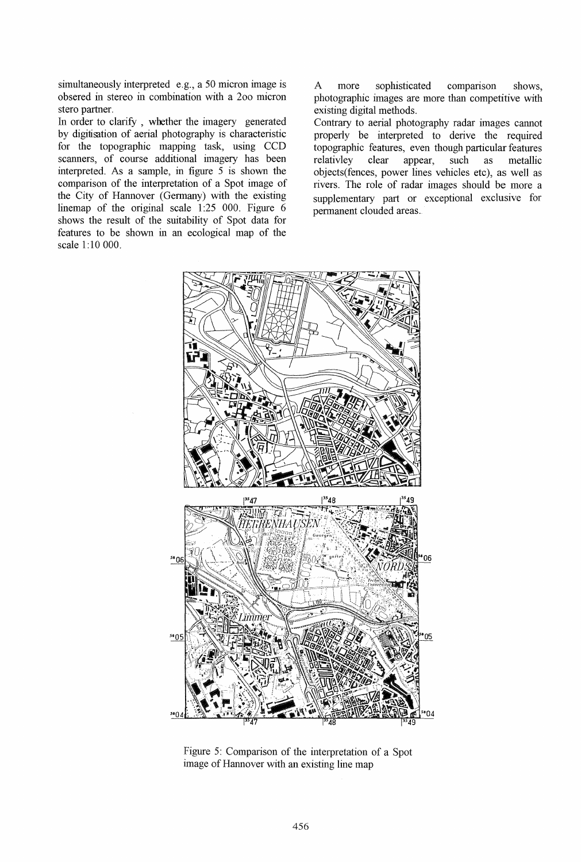simultaneously interpreted e.g., a 50 micron image is obsered in stereo in combination with a 200 micron stero partner.

In order to clarify , whether the imagery generated by digitisation of aerial photography is characteristic for the topographic mapping task, using CCD scanners, of course additional imagery has been interpreted. As a sample, in figure 5 is shown the comparison of the interpretation of a Spot image of the City of Hannover (Germany) with the existing linemap of the original scale  $1.25$  000. Figure 6 shows the result of the suitability of Spot data for features to be shown in an ecological map of the scale 1: 10 000.

A more sophisticated comparison shows, photographic images are more than competitive with existing digital methods.

Contrary to aerial photography radar images cannot properly be interpreted to derive the required topographic features, even though particular features<br>relativley clear appear, such as metallic relativley clear appear, such as metallic objects(fences, power lines vehicles etc), as well as rivers. The role of radar images should be more a supplementary part or exceptional exclusive for permanent clouded areas.



Figure 5: Comparison of the interpretation of a Spot image of Hannover with an existing line map